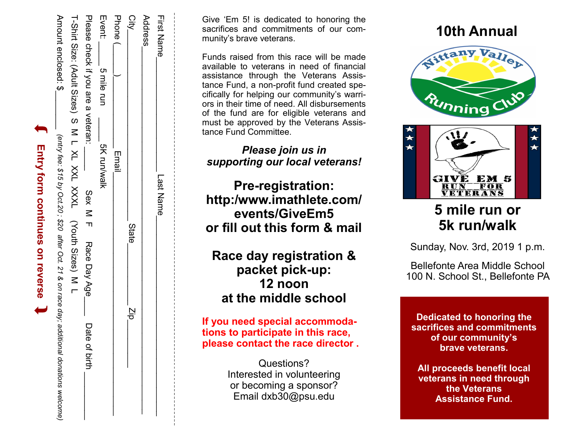|                                 |                                                                                              |                                                                   |                                           | Event:             | Phone | City                              | Address | First Name |
|---------------------------------|----------------------------------------------------------------------------------------------|-------------------------------------------------------------------|-------------------------------------------|--------------------|-------|-----------------------------------|---------|------------|
|                                 | Amount enclosed: \$                                                                          |                                                                   | Please check if you are a veteran:        | 5 mile run         |       |                                   |         |            |
| Entry form continues on reverse | (entry fee: \$15 by Oct. 20; \$20 after Oct. 21 & on race day; additional donations welcome; | T-Shirt Sizes, (Adult Sizes) S M L XL XXXL XXXL (Youth Sizes) M L | Sex M F<br>Race Day Age_<br>Date of birth | <b>SK run/walk</b> | Email | <b>State</b><br>Nold<br><br>Old Z |         | Last Name  |

Give 'Em 5! is dedicated to honoring the sacrifices and commitments of our community's brave veterans.

Funds raised from this race will be made available to veterans in need of financial assistance through the Veterans Assistance Fund, a non-profit fund created specifically for helping our community's warriors in their time of need. All disbursements of the fund are for eligible veterans and must be approved by the Veterans Assistance Fund Committee.

### *Please join us in supporting our local veterans!*

**Pre -registration: http:/www.imathlete.com/ events/GiveEm5 or fill out this form & mail**

**Race day registration & packet pick -up: 12 noon at the middle school** 

**If you need special accommodations to participate in this race, please contact the race director .**

> Questions? Interested in volunteering or becoming a sponsor? Email dxb30@psu.edu

# **10th Annual**





## **5 mile run or 5k run/walk**

Sunday, Nov. 3rd, 2019 1 p.m.

Bellefonte Area Middle School 100 N. School St., Bellefonte PA

**Dedicated to honoring the sacrifices and commitments of our community 's brave veterans.**

**All proceeds benefit local veterans in need through the Veterans Assistance Fund.**